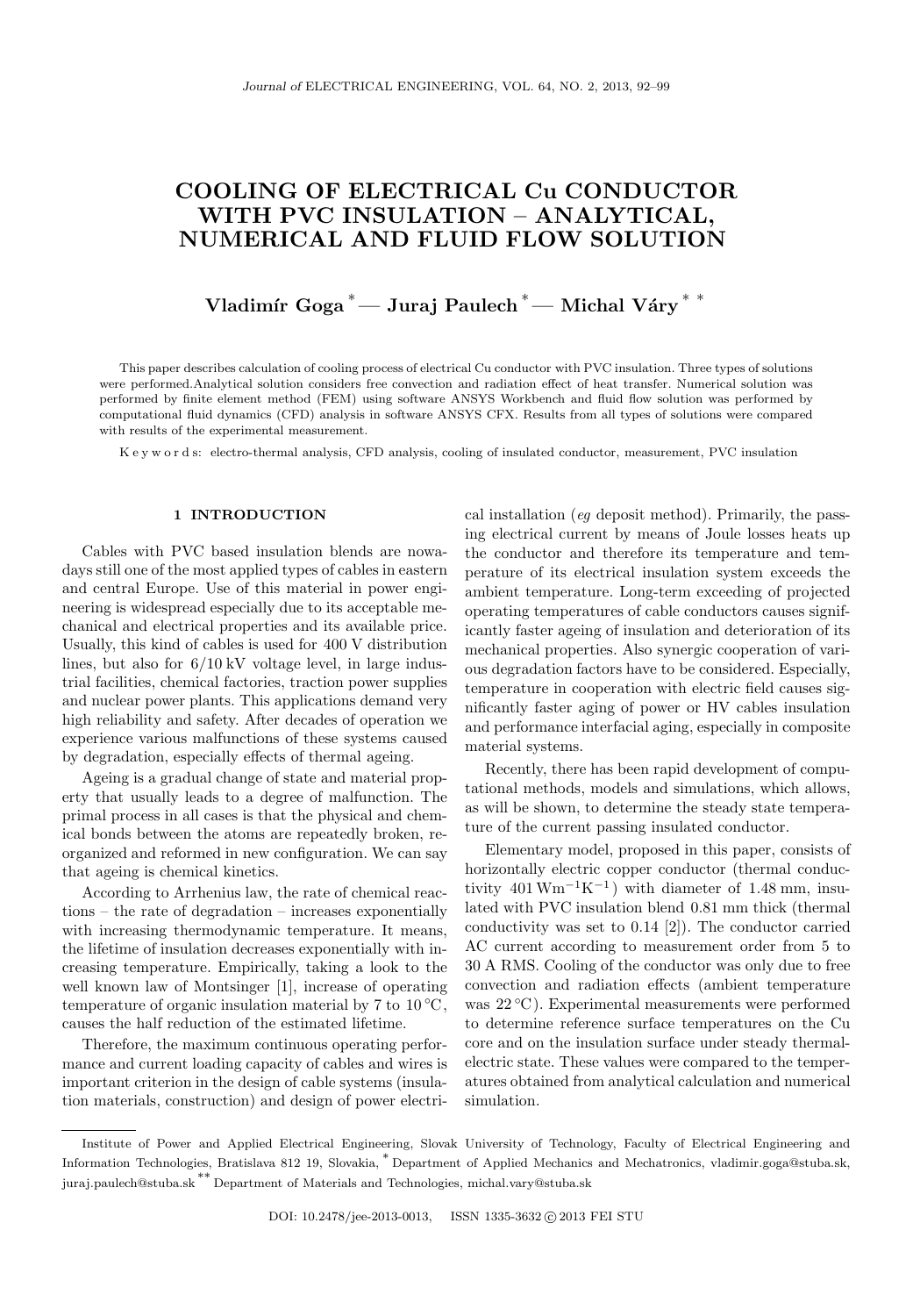# COOLING OF ELECTRICAL Cu CONDUCTOR WITH PVC INSULATION – ANALYTICAL, NUMERICAL AND FLUID FLOW SOLUTION

Vladimír Goga<sup>\*</sup>— Juraj Paulech<sup>\*</sup>— Michal Váry<sup>\*\*</sup>

This paper describes calculation of cooling process of electrical Cu conductor with PVC insulation. Three types of solutions were performed.Analytical solution considers free convection and radiation effect of heat transfer. Numerical solution was performed by finite element method (FEM) using software ANSYS Workbench and fluid flow solution was performed by computational fluid dynamics (CFD) analysis in software ANSYS CFX. Results from all types of solutions were compared with results of the experimental measurement.

K e y w o r d s: electro-thermal analysis, CFD analysis, cooling of insulated conductor, measurement, PVC insulation

## 1 INTRODUCTION

Cables with PVC based insulation blends are nowadays still one of the most applied types of cables in eastern and central Europe. Use of this material in power engineering is widespread especially due to its acceptable mechanical and electrical properties and its available price. Usually, this kind of cables is used for 400 V distribution lines, but also for 6/10 kV voltage level, in large industrial facilities, chemical factories, traction power supplies and nuclear power plants. This applications demand very high reliability and safety. After decades of operation we experience various malfunctions of these systems caused by degradation, especially effects of thermal ageing.

Ageing is a gradual change of state and material property that usually leads to a degree of malfunction. The primal process in all cases is that the physical and chemical bonds between the atoms are repeatedly broken, reorganized and reformed in new configuration. We can say that ageing is chemical kinetics.

According to Arrhenius law, the rate of chemical reactions – the rate of degradation – increases exponentially with increasing thermodynamic temperature. It means, the lifetime of insulation decreases exponentially with increasing temperature. Empirically, taking a look to the well known law of Montsinger [1], increase of operating temperature of organic insulation material by 7 to  $10\,^{\circ}\text{C}$ , causes the half reduction of the estimated lifetime.

Therefore, the maximum continuous operating performance and current loading capacity of cables and wires is important criterion in the design of cable systems (insulation materials, construction) and design of power electrical installation (eg deposit method). Primarily, the passing electrical current by means of Joule losses heats up the conductor and therefore its temperature and temperature of its electrical insulation system exceeds the ambient temperature. Long-term exceeding of projected operating temperatures of cable conductors causes significantly faster ageing of insulation and deterioration of its mechanical properties. Also synergic cooperation of various degradation factors have to be considered. Especially, temperature in cooperation with electric field causes significantly faster aging of power or HV cables insulation and performance interfacial aging, especially in composite material systems.

Recently, there has been rapid development of computational methods, models and simulations, which allows, as will be shown, to determine the steady state temperature of the current passing insulated conductor.

Elementary model, proposed in this paper, consists of horizontally electric copper conductor (thermal conductivity  $401 \text{ Wm}^{-1}\text{K}^{-1}$ ) with diameter of 1.48 mm, insulated with PVC insulation blend 0.81 mm thick (thermal conductivity was set to 0.14 [2]). The conductor carried AC current according to measurement order from 5 to 30 A RMS. Cooling of the conductor was only due to free convection and radiation effects (ambient temperature was 22 ◦C ). Experimental measurements were performed to determine reference surface temperatures on the Cu core and on the insulation surface under steady thermalelectric state. These values were compared to the temperatures obtained from analytical calculation and numerical simulation.

Institute of Power and Applied Electrical Engineering, Slovak University of Technology, Faculty of Electrical Engineering and Information Technologies, Bratislava 812 19, Slovakia, <sup>∗</sup> Department of Applied Mechanics and Mechatronics, vladimir.goga@stuba.sk, juraj.paulech@stuba.sk ∗∗ Department of Materials and Technologies, michal.vary@stuba.sk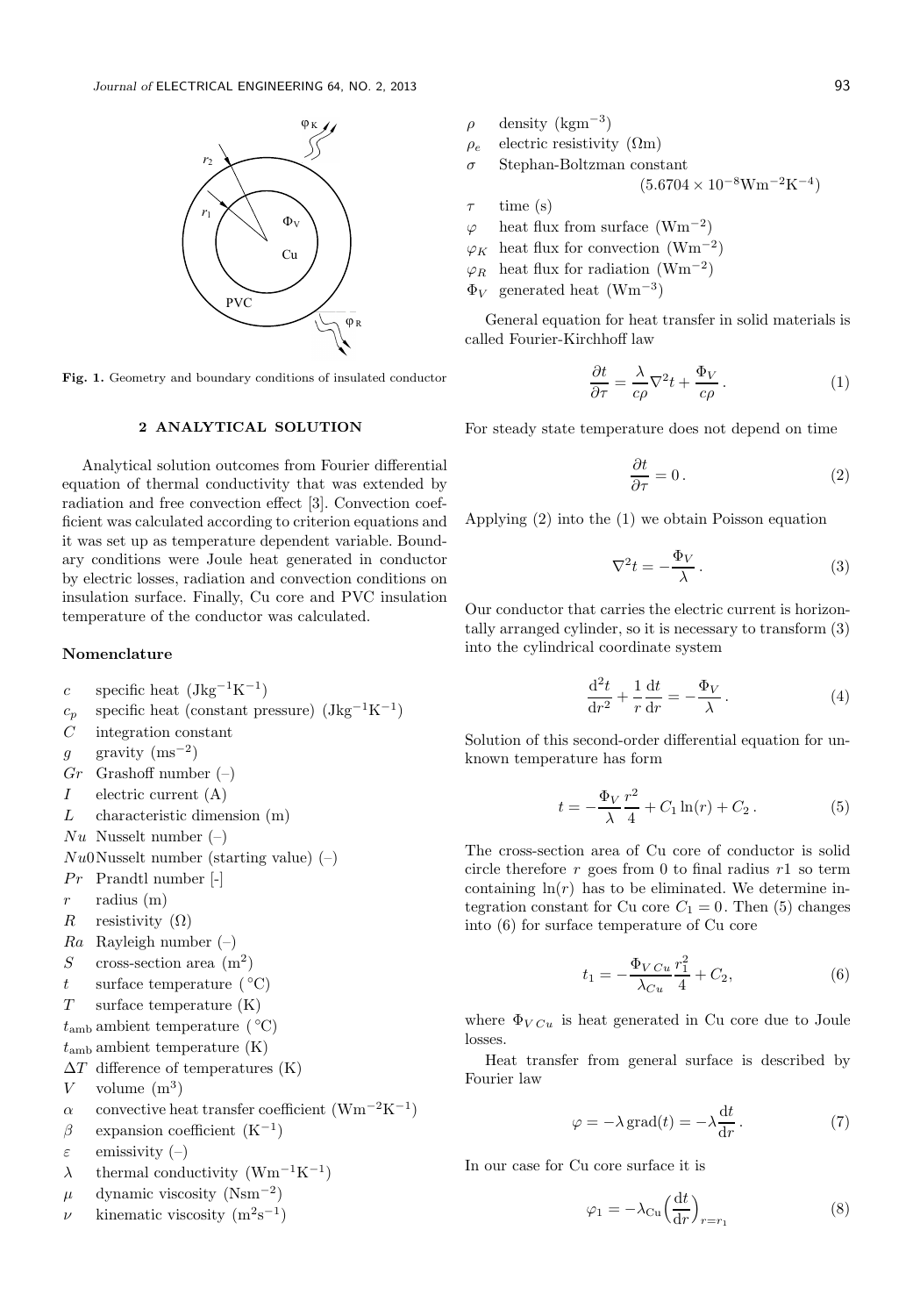

Fig. 1. Geometry and boundary conditions of insulated conductor

## 2 ANALYTICAL SOLUTION

Analytical solution outcomes from Fourier differential equation of thermal conductivity that was extended by radiation and free convection effect [3]. Convection coefficient was calculated according to criterion equations and it was set up as temperature dependent variable. Boundary conditions were Joule heat generated in conductor by electric losses, radiation and convection conditions on insulation surface. Finally, Cu core and PVC insulation temperature of the conductor was calculated.

## Nomenclature

- c specific heat  $(Jkg^{-1}K^{-1})$
- $c_p$  specific heat (constant pressure)  $(\text{Jkg}^{-1}\text{K}^{-1})$
- $C$  integration constant
- g gravity  $(ms^{-2})$
- $Gr$  Grashoff number  $(-)$
- $I$  electric current  $(A)$
- $L$  characteristic dimension  $(m)$
- $Nu$  Nusselt number  $(-)$
- $Nu0$ Nusselt number (starting value)  $(-)$
- $Pr$  Prandtl number  $\lceil \rceil$
- $r$  radius  $(m)$
- R resistivity  $(\Omega)$
- $Ra$  Rayleigh number  $(-)$
- S cross-section area  $(m^2)$
- t surface temperature  $({}^{\circ}C)$
- T surface temperature (K)
- $t_{\rm amb}$  ambient temperature ( $°C$ )
- $t_{\rm amb}$  ambient temperature  $(K)$
- $\Delta T$  difference of temperatures (K)
- V volume  $(m^3)$
- $\alpha$  convective heat transfer coefficient (Wm<sup>-2</sup>K<sup>-1</sup>)
- $\beta$  expansion coefficient  $(K^{-1})$
- $\varepsilon$  emissivity  $(-)$
- $\lambda$  thermal conductivity (Wm<sup>-1</sup>K<sup>-1</sup>)
- $\mu$  dynamic viscosity (Nsm<sup>-2</sup>)
- $\nu$  kinematic viscosity  $(m^2s^{-1})$
- $\rho$  density (kgm<sup>-3</sup>)  $\rho_e$  electric resistivity ( $\Omega$ m) Stephan-Boltzman constant  $(5.6704 \times 10^{-8} Wm^{-2}K^{-4})$  $\tau$  time (s)  $\varphi$  heat flux from surface (Wm<sup>-2</sup>)  $\varphi_K$  heat flux for convection (Wm<sup>-2</sup>)  $\varphi_R$  heat flux for radiation (Wm<sup>-2</sup>)
- $\Phi_V$  generated heat (Wm<sup>-3</sup>)

General equation for heat transfer in solid materials is called Fourier-Kirchhoff law

$$
\frac{\partial t}{\partial \tau} = \frac{\lambda}{c\rho} \nabla^2 t + \frac{\Phi_V}{c\rho} \,. \tag{1}
$$

For steady state temperature does not depend on time

$$
\frac{\partial t}{\partial \tau} = 0. \tag{2}
$$

Applying (2) into the (1) we obtain Poisson equation

$$
\nabla^2 t = -\frac{\Phi_V}{\lambda} \,. \tag{3}
$$

Our conductor that carries the electric current is horizontally arranged cylinder, so it is necessary to transform (3) into the cylindrical coordinate system

$$
\frac{\mathrm{d}^2 t}{\mathrm{d}r^2} + \frac{1}{r} \frac{\mathrm{d}t}{\mathrm{d}r} = -\frac{\Phi_V}{\lambda} \,. \tag{4}
$$

Solution of this second-order differential equation for unknown temperature has form

$$
t = -\frac{\Phi_V}{\lambda} \frac{r^2}{4} + C_1 \ln(r) + C_2.
$$
 (5)

The cross-section area of Cu core of conductor is solid circle therefore  $r$  goes from 0 to final radius  $r1$  so term containing  $\ln(r)$  has to be eliminated. We determine integration constant for Cu core  $C_1 = 0$ . Then (5) changes into (6) for surface temperature of Cu core

$$
t_1 = -\frac{\Phi_V c_u}{\lambda_{Cu}} \frac{r_1^2}{4} + C_2, \tag{6}
$$

where  $\Phi_{V C_u}$  is heat generated in Cu core due to Joule losses.

Heat transfer from general surface is described by Fourier law

$$
\varphi = -\lambda \operatorname{grad}(t) = -\lambda \frac{\mathrm{d}t}{\mathrm{d}r} \,. \tag{7}
$$

In our case for Cu core surface it is

$$
\varphi_1 = -\lambda_{\rm Cu} \left(\frac{\mathrm{d}t}{\mathrm{d}r}\right)_{r=r_1} \tag{8}
$$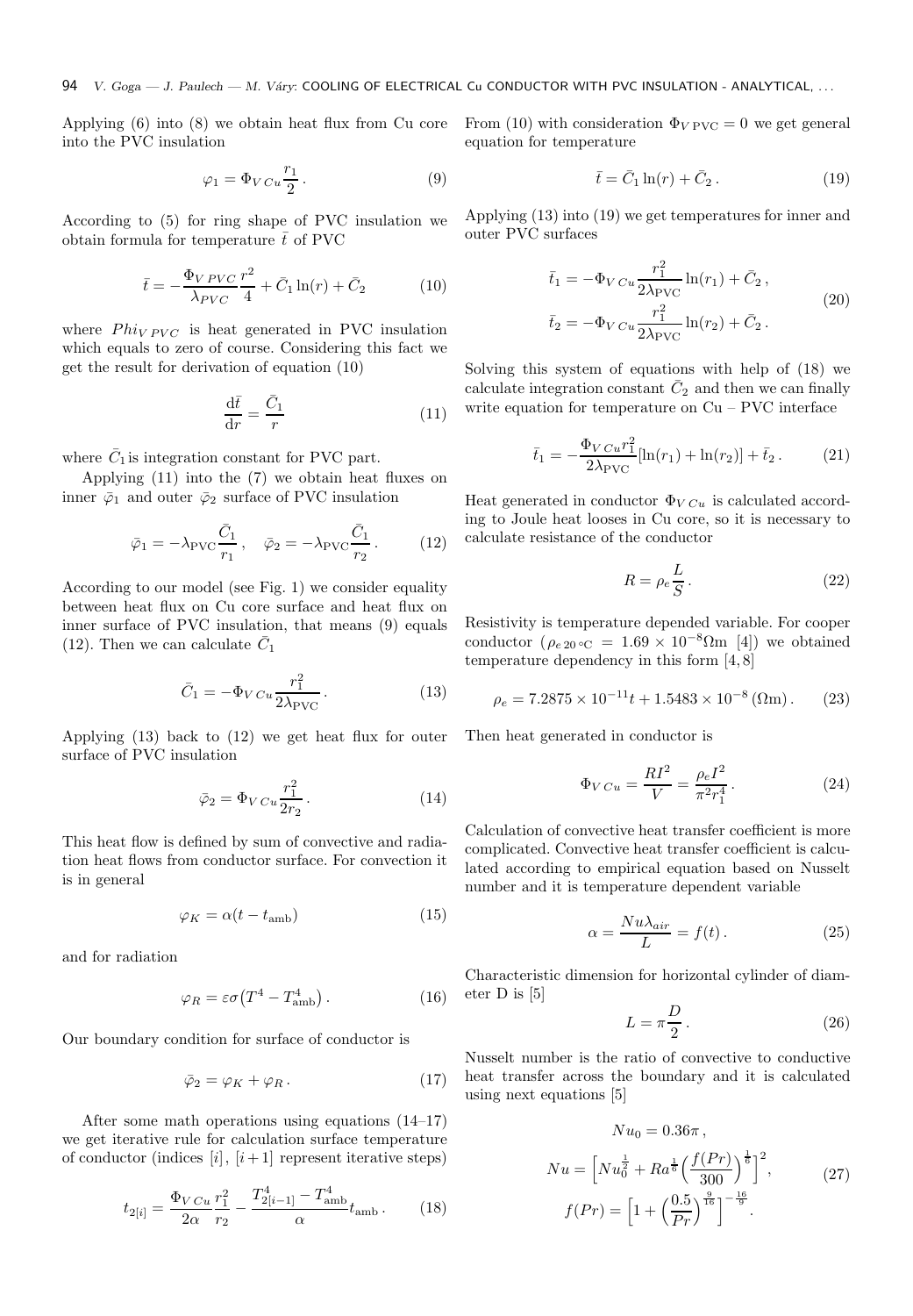Applying (6) into (8) we obtain heat flux from Cu core into the PVC insulation

$$
\varphi_1 = \Phi_V c_u \frac{r_1}{2} \,. \tag{9}
$$

According to (5) for ring shape of PVC insulation we obtain formula for temperature  $\bar{t}$  of PVC

$$
\bar{t} = -\frac{\Phi_{V\,PVC}}{\lambda_{PVC}} \frac{r^2}{4} + \bar{C}_1 \ln(r) + \bar{C}_2 \tag{10}
$$

where  $Phi_{VPC}$  is heat generated in PVC insulation which equals to zero of course. Considering this fact we get the result for derivation of equation (10)

$$
\frac{\mathrm{d}\bar{t}}{\mathrm{d}r} = \frac{\bar{C}_1}{r} \tag{11}
$$

where  $\bar{C}_1$  is integration constant for PVC part.

Applying (11) into the (7) we obtain heat fluxes on inner  $\bar{\varphi}_1$  and outer  $\bar{\varphi}_2$  surface of PVC insulation

$$
\bar{\varphi}_1 = -\lambda_{\text{PVC}} \frac{\bar{C}_1}{r_1}, \quad \bar{\varphi}_2 = -\lambda_{\text{PVC}} \frac{\bar{C}_1}{r_2}. \tag{12}
$$

According to our model (see Fig. 1) we consider equality between heat flux on Cu core surface and heat flux on inner surface of PVC insulation, that means (9) equals (12). Then we can calculate  $\bar{C}_1$ 

$$
\bar{C}_1 = -\Phi_{VCu} \frac{r_1^2}{2\lambda_{\text{PVC}}}.
$$
\n(13)

Applying (13) back to (12) we get heat flux for outer surface of PVC insulation

$$
\bar{\varphi}_2 = \Phi_{V\,Cu} \frac{r_1^2}{2r_2} \,. \tag{14}
$$

This heat flow is defined by sum of convective and radiation heat flows from conductor surface. For convection it is in general

$$
\varphi_K = \alpha (t - t_{\rm amb}) \tag{15}
$$

and for radiation

$$
\varphi_R = \varepsilon \sigma \left( T^4 - T_{\text{amb}}^4 \right). \tag{16}
$$

Our boundary condition for surface of conductor is

$$
\bar{\varphi}_2 = \varphi_K + \varphi_R. \tag{17}
$$

After some math operations using equations (14–17) we get iterative rule for calculation surface temperature of conductor (indices  $[i]$ ,  $[i+1]$  represent iterative steps)

$$
t_{2[i]} = \frac{\Phi_{V\,Cu}}{2\alpha} \frac{r_1^2}{r_2} - \frac{T_{2[i-1]}^4 - T_{\text{amb}}^4}{\alpha} t_{\text{amb}} \,. \tag{18}
$$

From (10) with consideration  $\Phi_{VPVC} = 0$  we get general equation for temperature

$$
\bar{t} = \bar{C}_1 \ln(r) + \bar{C}_2. \tag{19}
$$

Applying (13) into (19) we get temperatures for inner and outer PVC surfaces

$$
\bar{t}_1 = -\Phi_V c_u \frac{r_1^2}{2\lambda_{\text{PVC}}} \ln(r_1) + \bar{C}_2 ,
$$
\n
$$
\bar{t}_2 = -\Phi_V c_u \frac{r_1^2}{2\lambda_{\text{PVC}}} \ln(r_2) + \bar{C}_2 .
$$
\n(20)

Solving this system of equations with help of (18) we calculate integration constant  $\bar{C}_2$  and then we can finally write equation for temperature on Cu – PVC interface

$$
\bar{t}_1 = -\frac{\Phi_V c_u r_1^2}{2\lambda_{\text{PVC}}} [\ln(r_1) + \ln(r_2)] + \bar{t}_2. \tag{21}
$$

Heat generated in conductor  $\Phi_{VCu}$  is calculated according to Joule heat looses in Cu core, so it is necessary to calculate resistance of the conductor

$$
R = \rho_e \frac{L}{S} \,. \tag{22}
$$

Resistivity is temperature depended variable. For cooper conductor ( $\rho_{e,20}$  ∘C = 1.69 × 10<sup>-8</sup>Ωm [4]) we obtained temperature dependency in this form [4, 8]

$$
\rho_e = 7.2875 \times 10^{-11} t + 1.5483 \times 10^{-8} \, (\Omega \text{m}). \tag{23}
$$

Then heat generated in conductor is

$$
\Phi_{VCu} = \frac{RI^2}{V} = \frac{\rho_e I^2}{\pi^2 r_1^4}.
$$
\n(24)

Calculation of convective heat transfer coefficient is more complicated. Convective heat transfer coefficient is calculated according to empirical equation based on Nusselt number and it is temperature dependent variable

$$
\alpha = \frac{Nu\lambda_{air}}{L} = f(t). \tag{25}
$$

Characteristic dimension for horizontal cylinder of diameter D is [5]

$$
L = \pi \frac{D}{2} \,. \tag{26}
$$

Nusselt number is the ratio of convective to conductive heat transfer across the boundary and it is calculated using next equations [5]

$$
Nu_0 = 0.36\pi,
$$
  
\n
$$
Nu = \left[Nu_0^{\frac{1}{2}} + Ra^{\frac{1}{6}}\left(\frac{f(Pr)}{300}\right)^{\frac{1}{6}}\right]^2,
$$
  
\n
$$
f(Pr) = \left[1 + \left(\frac{0.5}{Pr}\right)^{\frac{9}{16}}\right]^{-\frac{16}{9}}.
$$
\n(27)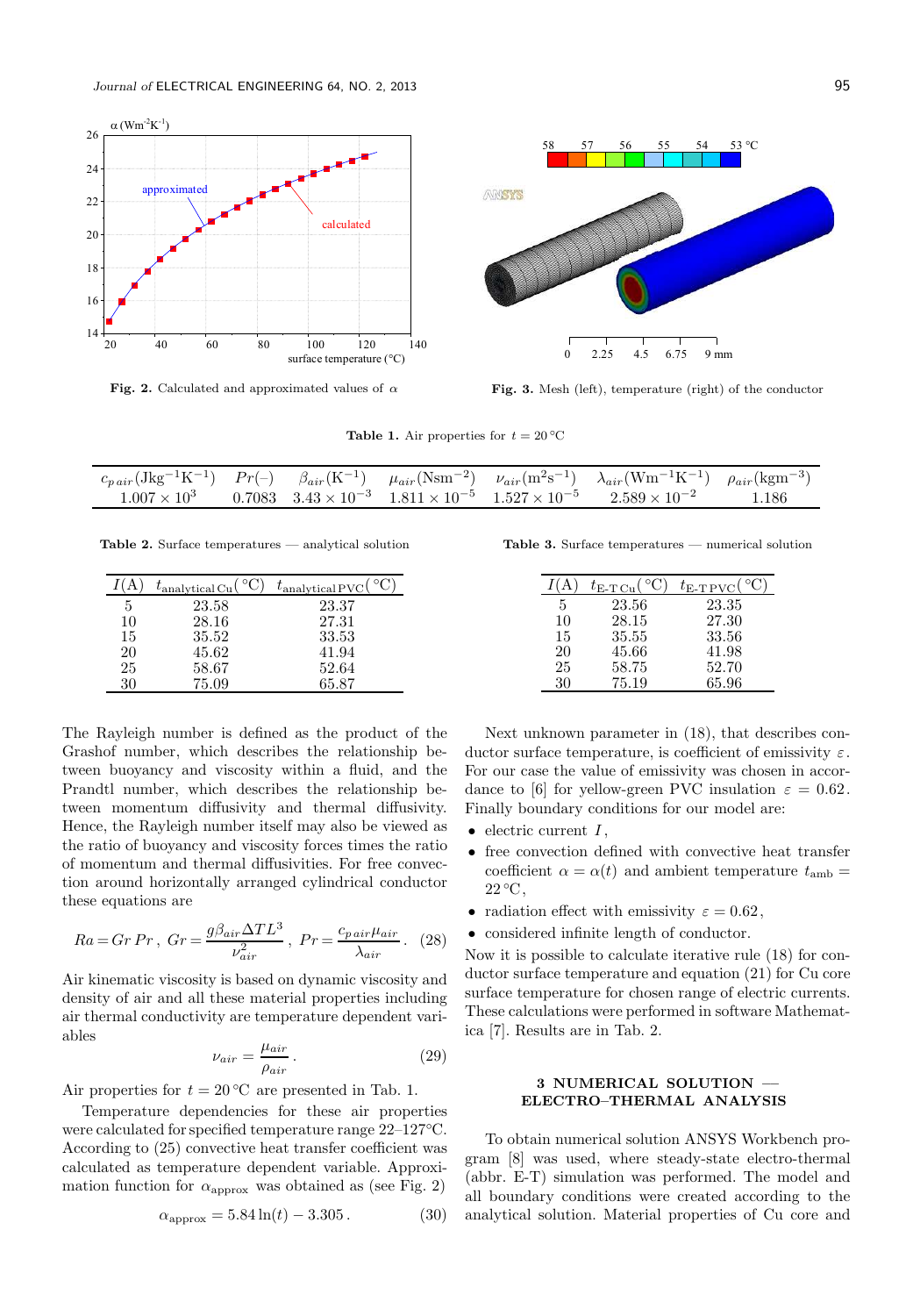

Fig. 2. Calculated and approximated values of  $\alpha$ 



Fig. 3. Mesh (left), temperature (right) of the conductor

Table 1. Air properties for  $t = 20 °C$ 

|  |  | $c_{pair}(Jkg^{-1}K^{-1})$ $Pr(-)$ $\beta_{air}(K^{-1})$ $\mu_{air}(Nsm^{-2})$ $\nu_{air}(m^{2}s^{-1})$ $\lambda_{air}(Wm^{-1}K^{-1})$ $\rho_{air}(kgm^{-3})$ |       |
|--|--|---------------------------------------------------------------------------------------------------------------------------------------------------------------|-------|
|  |  | $1.007 \times 10^3$ 0.7083 $3.43 \times 10^{-3}$ $1.811 \times 10^{-5}$ $1.527 \times 10^{-5}$ $2.589 \times 10^{-2}$                                         | 1.186 |

Table 2. Surface temperatures — analytical solution

|    | $t_{\text{analytical Cu}}($ | $t_{\text{analytical PVC}}$ |
|----|-----------------------------|-----------------------------|
| 5  | 23.58                       | 23.37                       |
| 10 | 28.16                       | 27.31                       |
| 15 | 35.52                       | 33.53                       |
| 20 | 45.62                       | 41.94                       |
| 25 | 58.67                       | 52.64                       |
| 30 | 75.09                       | 65.87                       |

The Rayleigh number is defined as the product of the Grashof number, which describes the relationship between buoyancy and viscosity within a fluid, and the Prandtl number, which describes the relationship between momentum diffusivity and thermal diffusivity. Hence, the Rayleigh number itself may also be viewed as the ratio of buoyancy and viscosity forces times the ratio of momentum and thermal diffusivities. For free convection around horizontally arranged cylindrical conductor these equations are

$$
Ra = Gr Pr, \ Gr = \frac{g\beta_{air}\Delta TL^3}{\nu_{air}^2}, \ Pr = \frac{c_{pair}\mu_{air}}{\lambda_{air}}.
$$
 (28)

Air kinematic viscosity is based on dynamic viscosity and density of air and all these material properties including air thermal conductivity are temperature dependent variables

$$
\nu_{air} = \frac{\mu_{air}}{\rho_{air}}.
$$
\n(29)

Air properties for  $t = 20$  °C are presented in Tab. 1.

Temperature dependencies for these air properties were calculated for specified temperature range 22–127◦C. According to (25) convective heat transfer coefficient was calculated as temperature dependent variable. Approximation function for  $\alpha_{\text{approx}}$  was obtained as (see Fig. 2)

$$
\alpha_{\rm approx} = 5.84 \ln(t) - 3.305. \tag{30}
$$

Table 3. Surface temperatures — numerical solution

|    | $t_{\text{E-T Cu}}$ | $t_{\text{E-TPVC}}($ |
|----|---------------------|----------------------|
| 5  | 23.56               | 23.35                |
| 10 | 28.15               | 27.30                |
| 15 | 35.55               | 33.56                |
| 20 | 45.66               | 41.98                |
| 25 | 58.75               | 52.70                |
| 30 | 75.19               | 65.96                |

Next unknown parameter in (18), that describes conductor surface temperature, is coefficient of emissivity  $\varepsilon$ . For our case the value of emissivity was chosen in accordance to [6] for yellow-green PVC insulation  $\varepsilon = 0.62$ . Finally boundary conditions for our model are:

- $\bullet$  electric current  $I$ ,
- free convection defined with convective heat transfer coefficient  $\alpha = \alpha(t)$  and ambient temperature  $t_{\rm amb} =$  $22 \text{ °C}$ ,
- radiation effect with emissivity  $\varepsilon = 0.62$ ,
- considered infinite length of conductor.

Now it is possible to calculate iterative rule (18) for conductor surface temperature and equation (21) for Cu core surface temperature for chosen range of electric currents. These calculations were performed in software Mathematica [7]. Results are in Tab. 2.

# 3 NUMERICAL SOLUTION –– ELECTRO–THERMAL ANALYSIS

To obtain numerical solution ANSYS Workbench program [8] was used, where steady-state electro-thermal (abbr. E-T) simulation was performed. The model and all boundary conditions were created according to the analytical solution. Material properties of Cu core and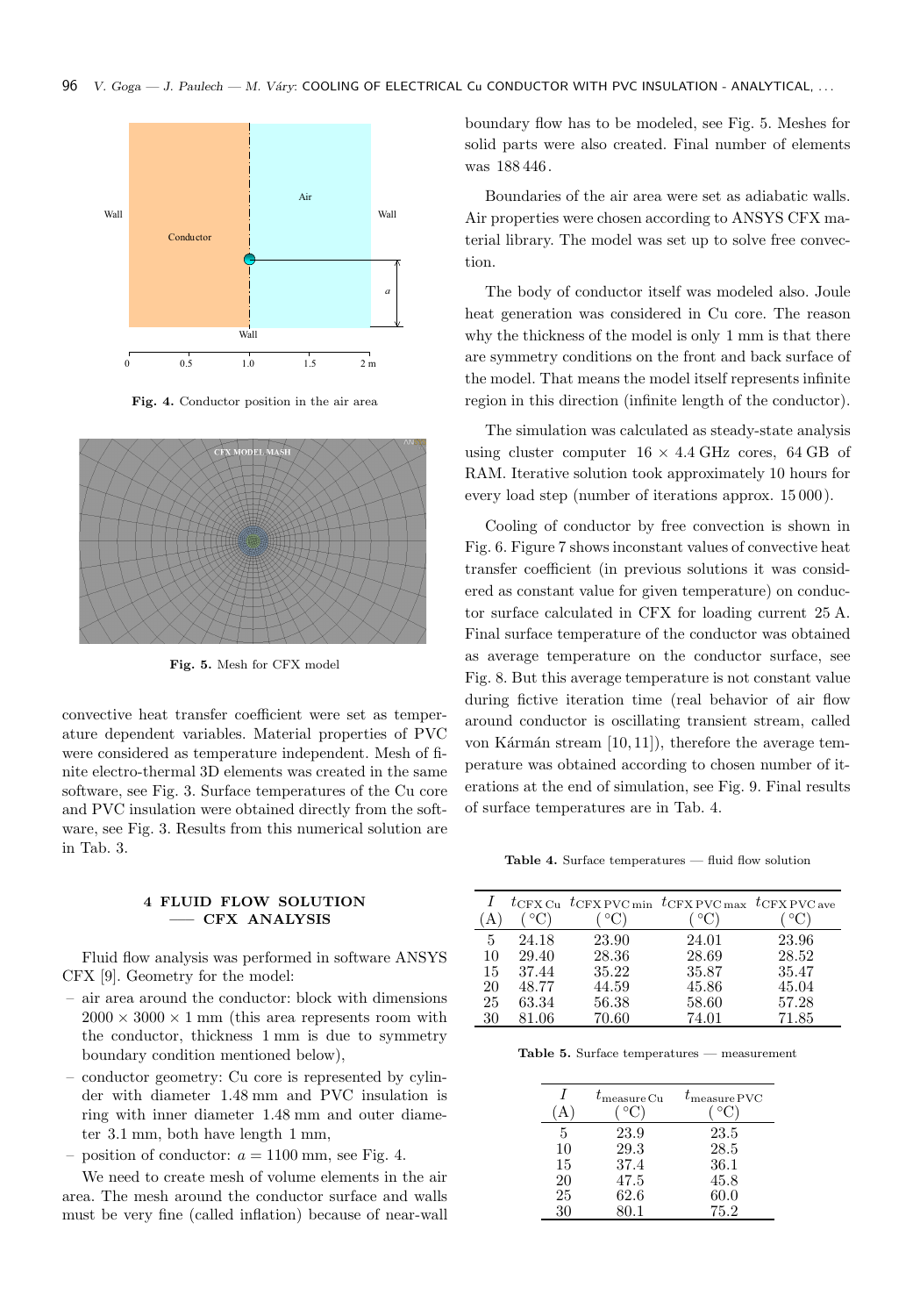

Fig. 4. Conductor position in the air area



Fig. 5. Mesh for CFX model

convective heat transfer coefficient were set as temperature dependent variables. Material properties of PVC were considered as temperature independent. Mesh of finite electro-thermal 3D elements was created in the same software, see Fig. 3. Surface temperatures of the Cu core and PVC insulation were obtained directly from the software, see Fig. 3. Results from this numerical solution are in Tab. 3.

## 4 FLUID FLOW SOLUTION ––– CFX ANALYSIS

Fluid flow analysis was performed in software ANSYS CFX [9]. Geometry for the model:

- air area around the conductor: block with dimensions  $2000 \times 3000 \times 1$  mm (this area represents room with the conductor, thickness 1 mm is due to symmetry boundary condition mentioned below),
- conductor geometry: Cu core is represented by cylinder with diameter 1.48 mm and PVC insulation is ring with inner diameter 1.48 mm and outer diameter 3.1 mm, both have length 1 mm,
- position of conductor:  $a = 1100$  mm, see Fig. 4.

We need to create mesh of volume elements in the air area. The mesh around the conductor surface and walls must be very fine (called inflation) because of near-wall boundary flow has to be modeled, see Fig. 5. Meshes for solid parts were also created. Final number of elements was 188 446.

Boundaries of the air area were set as adiabatic walls. Air properties were chosen according to ANSYS CFX material library. The model was set up to solve free convection.

The body of conductor itself was modeled also. Joule heat generation was considered in Cu core. The reason why the thickness of the model is only 1 mm is that there are symmetry conditions on the front and back surface of the model. That means the model itself represents infinite region in this direction (infinite length of the conductor).

The simulation was calculated as steady-state analysis using cluster computer  $16 \times 4.4$  GHz cores, 64 GB of RAM. Iterative solution took approximately 10 hours for every load step (number of iterations approx. 15 000 ).

Cooling of conductor by free convection is shown in Fig. 6. Figure 7 shows inconstant values of convective heat transfer coefficient (in previous solutions it was considered as constant value for given temperature) on conductor surface calculated in CFX for loading current 25 A. Final surface temperature of the conductor was obtained as average temperature on the conductor surface, see Fig. 8. But this average temperature is not constant value during fictive iteration time (real behavior of air flow around conductor is oscillating transient stream, called von Kármán stream  $[10, 11]$ , therefore the average temperature was obtained according to chosen number of iterations at the end of simulation, see Fig. 9. Final results of surface temperatures are in Tab. 4.

Table 4. Surface temperatures — fluid flow solution

|    |       |       | $t_{\text{CFX Cu}}$ $t_{\text{CFX PVC min}}$ $t_{\text{CFX PVC max}}$ $t_{\text{CFX PVC ave}}$ |       |
|----|-------|-------|------------------------------------------------------------------------------------------------|-------|
| 5  | 24.18 | 23.90 | 24.01                                                                                          | 23.96 |
| 10 | 29.40 | 28.36 | 28.69                                                                                          | 28.52 |
| 15 | 37.44 | 35.22 | 35.87                                                                                          | 35.47 |
| 20 | 48.77 | 44.59 | 45.86                                                                                          | 45.04 |
| 25 | 63.34 | 56.38 | 58.60                                                                                          | 57.28 |
| 30 | 81.06 | 70.60 | 74.01                                                                                          | 71.85 |

Table 5. Surface temperatures — measurement

|    | $t_{\rm measure\,Cu}$<br>C) | $t_{\rm measure\,PVC}$<br>∘C) |
|----|-----------------------------|-------------------------------|
| 5  | 23.9                        | 23.5                          |
| 10 | 29.3                        | 28.5                          |
| 15 | 37.4                        | 36.1                          |
| 20 | 47.5                        | 45.8                          |
| 25 | 62.6                        | 60.0                          |
| 30 | 80.1                        | 75.2                          |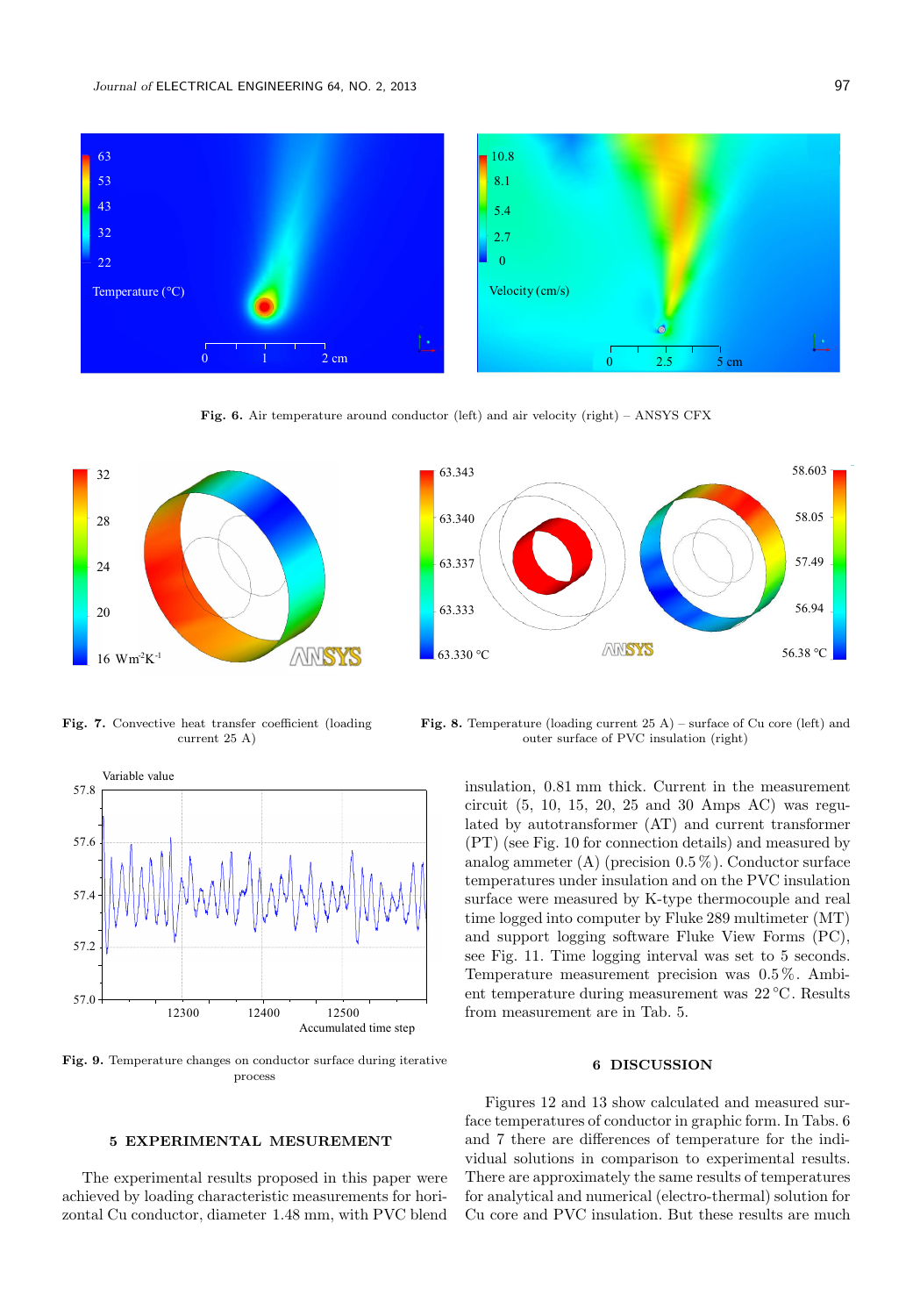

Fig. 6. Air temperature around conductor (left) and air velocity (right) – ANSYS CFX



63.343 58.603 58.05 63.340 57.49 63.337 63.333 56.94 AMSYS 63.330 °C 56.38 °C

Fig. 7. Convective heat transfer coefficient (loading current 25 A)



Fig. 9. Temperature changes on conductor surface during iterative process

5 EXPERIMENTAL MESUREMENT

The experimental results proposed in this paper were achieved by loading characteristic measurements for horizontal Cu conductor, diameter 1.48 mm, with PVC blend

Fig. 8. Temperature (loading current  $25$  A) – surface of Cu core (left) and outer surface of PVC insulation (right)

insulation, 0.81 mm thick. Current in the measurement circuit (5, 10, 15, 20, 25 and 30 Amps AC) was regulated by autotransformer (AT) and current transformer (PT) (see Fig. 10 for connection details) and measured by analog ammeter  $(A)$  (precision  $0.5\%$ ). Conductor surface temperatures under insulation and on the PVC insulation surface were measured by K-type thermocouple and real time logged into computer by Fluke 289 multimeter (MT) and support logging software Fluke View Forms (PC), see Fig. 11. Time logging interval was set to 5 seconds. Temperature measurement precision was 0.5 %. Ambient temperature during measurement was 22 ◦C. Results from measurement are in Tab. 5.

### 6 DISCUSSION

Figures 12 and 13 show calculated and measured surface temperatures of conductor in graphic form. In Tabs. 6 and 7 there are differences of temperature for the individual solutions in comparison to experimental results. There are approximately the same results of temperatures for analytical and numerical (electro-thermal) solution for Cu core and PVC insulation. But these results are much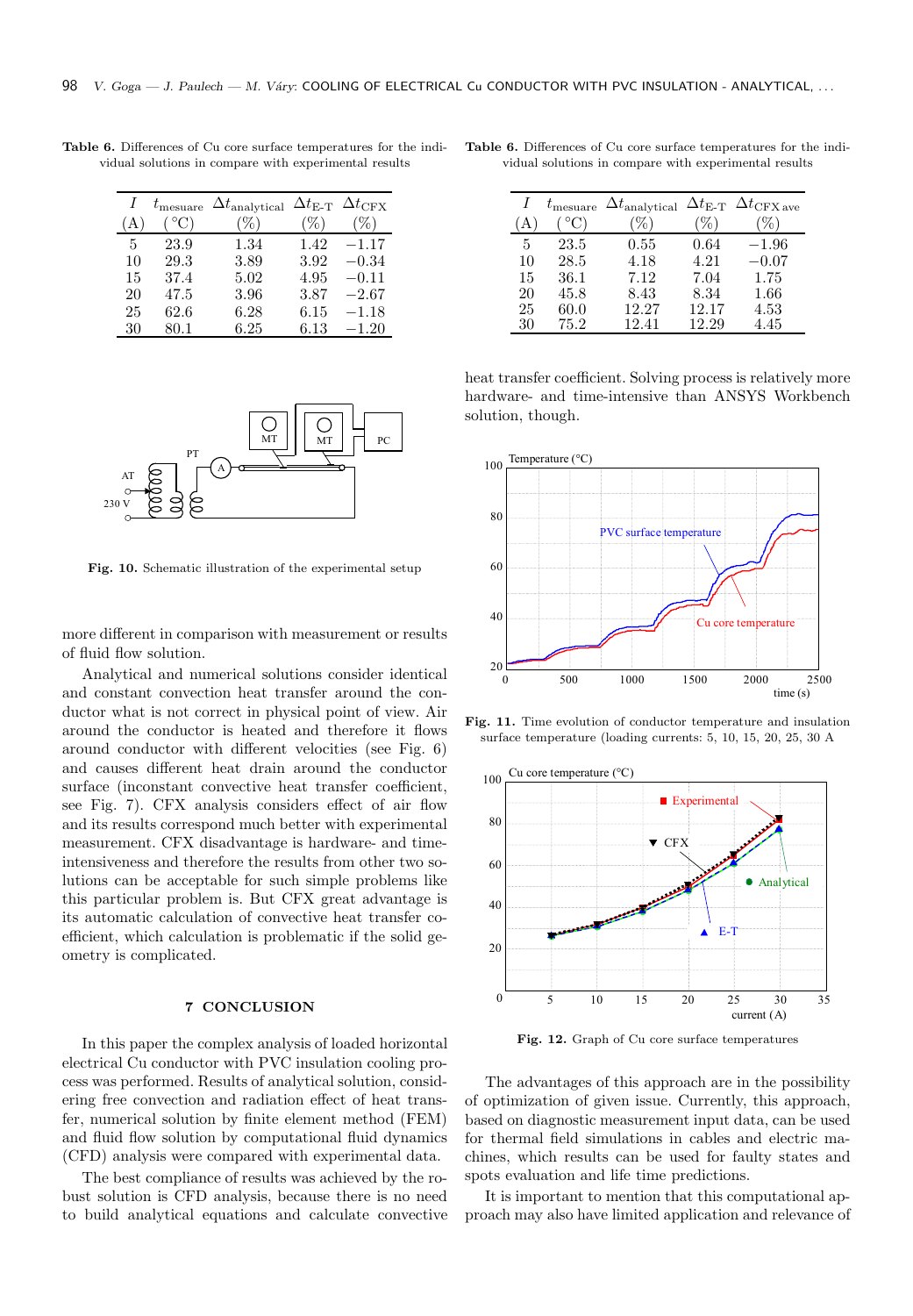|    | $t_{\text{measure}}$ | $\Delta t$ <sub>analytical</sub> |      | $\Delta t_{\text{E-T}}$ $\Delta t_{\text{CFX}}$ |
|----|----------------------|----------------------------------|------|-------------------------------------------------|
| А  | $\rm ^{\circ}C)$     | $\%$                             | $\%$ | %)                                              |
| 5  | 23.9                 | 1.34                             | 1.42 | $-1.17$                                         |
| 10 | 29.3                 | 3.89                             | 3.92 | $-0.34$                                         |
| 15 | 37.4                 | 5.02                             | 4.95 | $-0.11$                                         |
| 20 | 47.5                 | 3.96                             | 3.87 | $-2.67$                                         |
| 25 | 62.6                 | 6.28                             | 6.15 | $-1.18\,$                                       |
| 30 | 80.1                 | 6.25                             | 6.13 | $-1.20$                                         |

Table 6. Differences of Cu core surface temperatures for the individual solutions in compare with experimental results



Fig. 10. Schematic illustration of the experimental setup

more different in comparison with measurement or results of fluid flow solution.

Analytical and numerical solutions consider identical and constant convection heat transfer around the conductor what is not correct in physical point of view. Air around the conductor is heated and therefore it flows around conductor with different velocities (see Fig. 6) and causes different heat drain around the conductor surface (inconstant convective heat transfer coefficient, see Fig. 7). CFX analysis considers effect of air flow and its results correspond much better with experimental measurement. CFX disadvantage is hardware- and timeintensiveness and therefore the results from other two solutions can be acceptable for such simple problems like this particular problem is. But CFX great advantage is its automatic calculation of convective heat transfer coefficient, which calculation is problematic if the solid geometry is complicated.

## 7 CONCLUSION

In this paper the complex analysis of loaded horizontal electrical Cu conductor with PVC insulation cooling process was performed. Results of analytical solution, considering free convection and radiation effect of heat transfer, numerical solution by finite element method (FEM) and fluid flow solution by computational fluid dynamics (CFD) analysis were compared with experimental data.

The best compliance of results was achieved by the robust solution is CFD analysis, because there is no need to build analytical equations and calculate convective

Table 6. Differences of Cu core surface temperatures for the individual solutions in compare with experimental results

|    | $t_{\text{measure}}$ | $\Delta t$ <sub>analytical</sub> | $\Delta t_{\text{E-T}}$ | $\Delta t_{\textrm{CFX ave}}$ |
|----|----------------------|----------------------------------|-------------------------|-------------------------------|
|    |                      | 40                               |                         |                               |
| 5  | 23.5                 | 0.55                             | 0.64                    | $-1.96$                       |
| 10 | 28.5                 | 4.18                             | 4.21                    | $-0.07$                       |
| 15 | 36.1                 | 7.12                             | 7.04                    | 1.75                          |
| 20 | 45.8                 | 8.43                             | 8.34                    | 1.66                          |
| 25 | 60.0                 | 12.27                            | 12.17                   | 4.53                          |
| 30 | 75.2                 | 12.41                            | 12.29                   | 4.45                          |

heat transfer coefficient. Solving process is relatively more hardware- and time-intensive than ANSYS Workbench solution, though.



Fig. 11. Time evolution of conductor temperature and insulation surface temperature (loading currents: 5, 10, 15, 20, 25, 30 A



Fig. 12. Graph of Cu core surface temperatures

The advantages of this approach are in the possibility of optimization of given issue. Currently, this approach, based on diagnostic measurement input data, can be used for thermal field simulations in cables and electric machines, which results can be used for faulty states and spots evaluation and life time predictions.

It is important to mention that this computational approach may also have limited application and relevance of